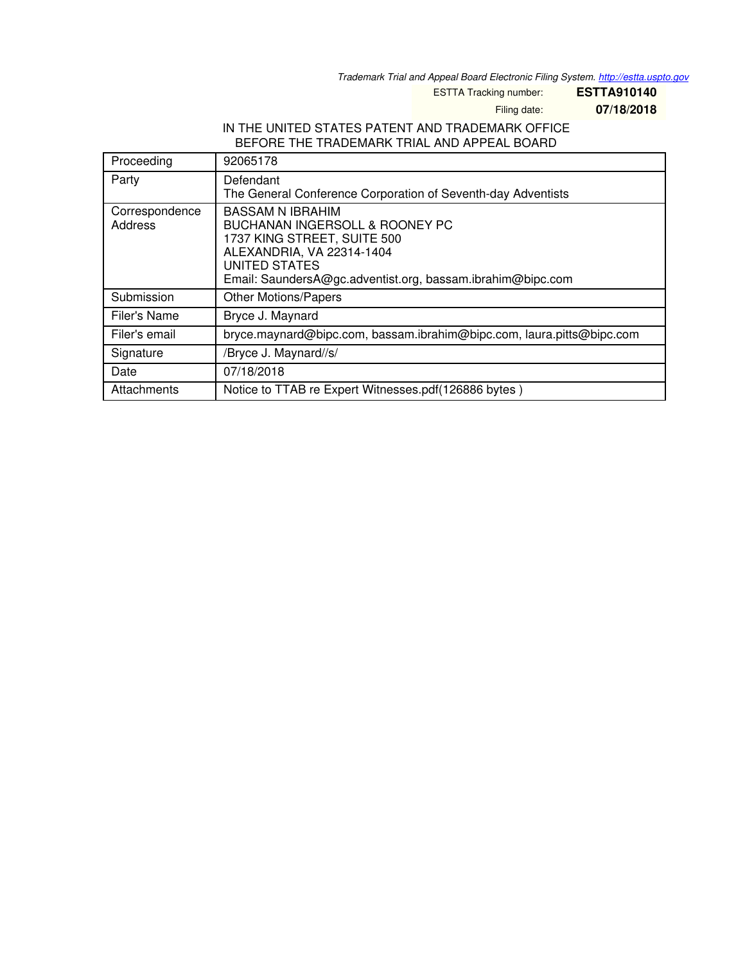*Trademark Trial and Appeal Board Electronic Filing System. <http://estta.uspto.gov>*

ESTTA Tracking number: **ESTTA910140**

Filing date: **07/18/2018**

## IN THE UNITED STATES PATENT AND TRADEMARK OFFICE BEFORE THE TRADEMARK TRIAL AND APPEAL BOARD

| Proceeding                | 92065178                                                                                                                                                                                                    |
|---------------------------|-------------------------------------------------------------------------------------------------------------------------------------------------------------------------------------------------------------|
| Party                     | Defendant<br>The General Conference Corporation of Seventh-day Adventists                                                                                                                                   |
| Correspondence<br>Address | <b>BASSAM N IBRAHIM</b><br>BUCHANAN INGERSOLL & ROONEY PC<br>1737 KING STREET, SUITE 500<br>ALEXANDRIA, VA 22314-1404<br><b>UNITED STATES</b><br>Email: SaundersA@gc.adventist.org, bassam.ibrahim@bipc.com |
| Submission                | <b>Other Motions/Papers</b>                                                                                                                                                                                 |
| Filer's Name              | Bryce J. Maynard                                                                                                                                                                                            |
| Filer's email             | bryce.maynard@bipc.com, bassam.ibrahim@bipc.com, laura.pitts@bipc.com                                                                                                                                       |
| Signature                 | /Bryce J. Maynard//s/                                                                                                                                                                                       |
| Date                      | 07/18/2018                                                                                                                                                                                                  |
| Attachments               | Notice to TTAB re Expert Witnesses.pdf(126886 bytes)                                                                                                                                                        |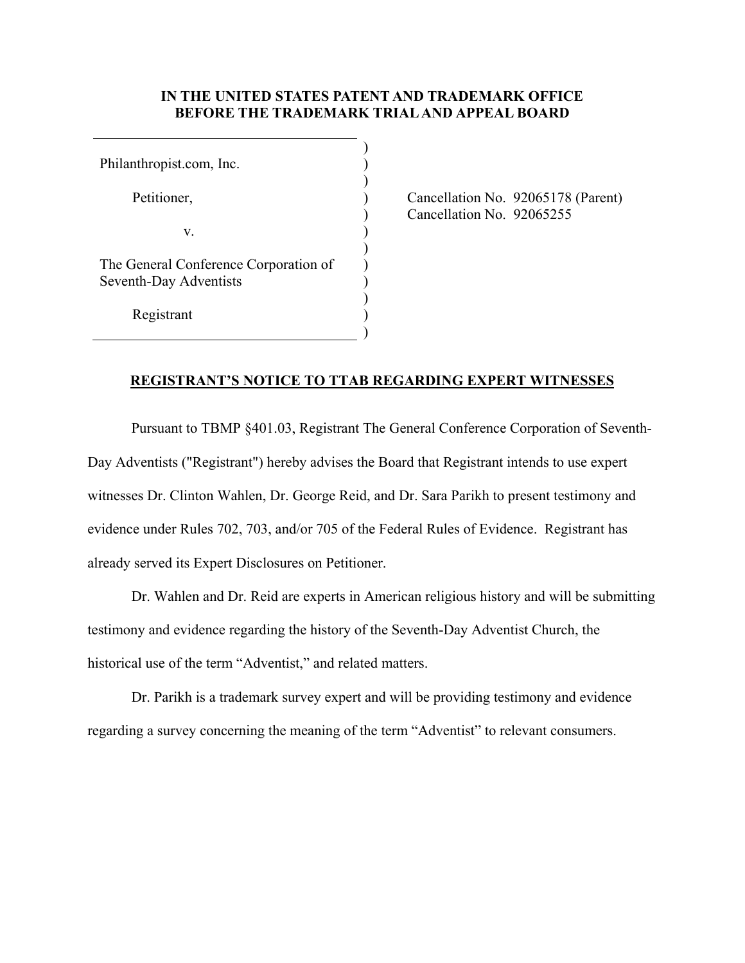## **IN THE UNITED STATES PATENT AND TRADEMARK OFFICE BEFORE THE TRADEMARK TRIAL AND APPEAL BOARD**

) ) ) ) ) ) ) ) ) ) ) )

Philanthropist.com, Inc.

Petitioner,

v.

The General Conference Corporation of Seventh-Day Adventists

Registrant

 Cancellation No. 92065178 (Parent) Cancellation No. 92065255

## **REGISTRANT'S NOTICE TO TTAB REGARDING EXPERT WITNESSES**

 Pursuant to TBMP §401.03, Registrant The General Conference Corporation of Seventh-Day Adventists ("Registrant") hereby advises the Board that Registrant intends to use expert witnesses Dr. Clinton Wahlen, Dr. George Reid, and Dr. Sara Parikh to present testimony and evidence under Rules 702, 703, and/or 705 of the Federal Rules of Evidence. Registrant has already served its Expert Disclosures on Petitioner.

 Dr. Wahlen and Dr. Reid are experts in American religious history and will be submitting testimony and evidence regarding the history of the Seventh-Day Adventist Church, the historical use of the term "Adventist," and related matters.

 Dr. Parikh is a trademark survey expert and will be providing testimony and evidence regarding a survey concerning the meaning of the term "Adventist" to relevant consumers.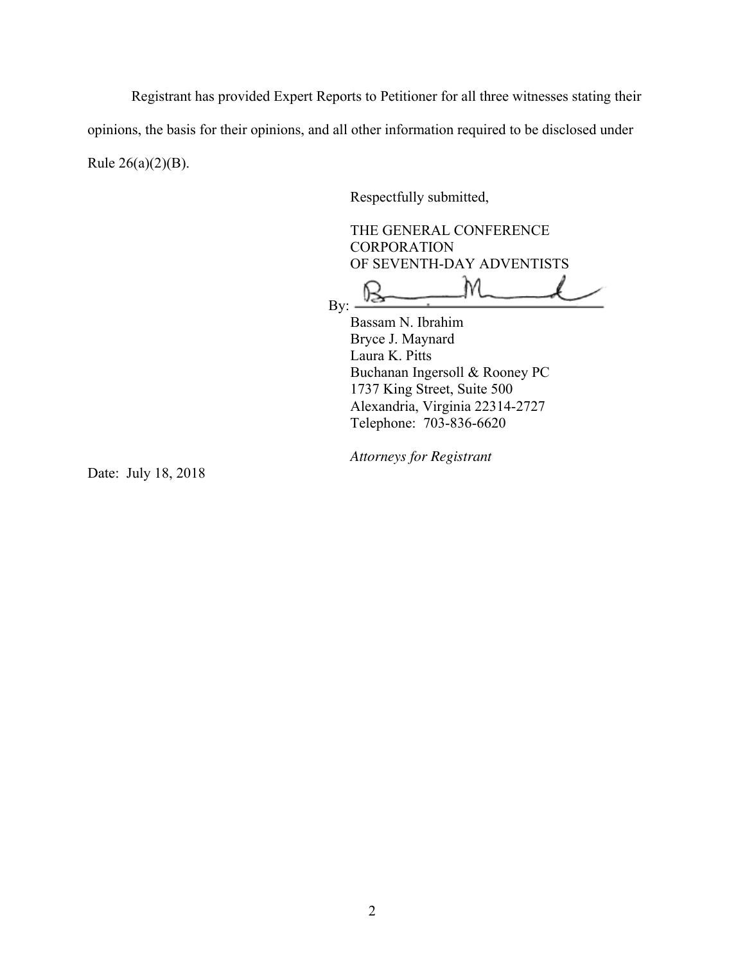Registrant has provided Expert Reports to Petitioner for all three witnesses stating their

opinions, the basis for their opinions, and all other information required to be disclosed under Rule 26(a)(2)(B).

Respectfully submitted,

THE GENERAL CONFERENCE **CORPORATION** OF SEVENTH-DAY ADVENTISTS

M By:

Bassam N. Ibrahim Bryce J. Maynard Laura K. Pitts Buchanan Ingersoll & Rooney PC 1737 King Street, Suite 500 Alexandria, Virginia 22314-2727 Telephone: 703-836-6620

*Attorneys for Registrant* 

Date: July 18, 2018